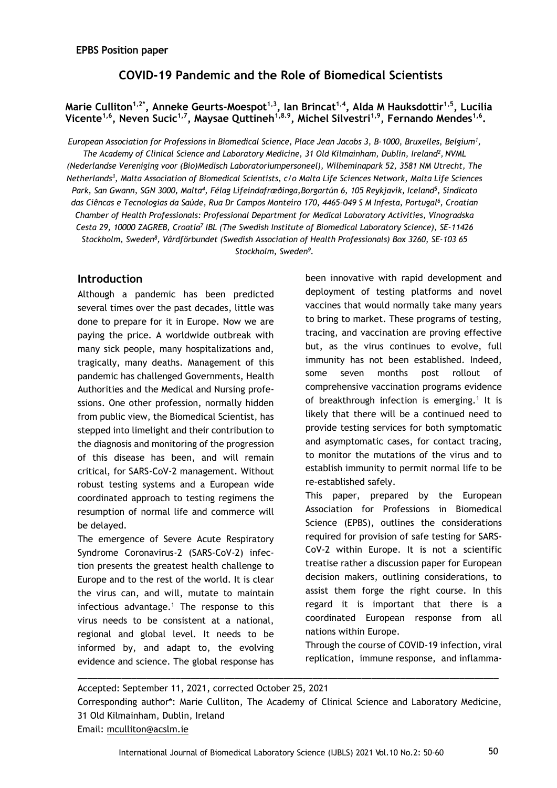# **COVID-19 Pandemic and the Role of Biomedical Scientists**

### **Marie Culliton1,2\* , Anneke Geurts-Moespot1,3, Ian Brincat1,4 , Alda M Hauksdottir1,5, Lucilia Vicente1,6 , Neven Sucic1,7, Maysae Quttineh1,8.9, Michel Silvestri1,9, Fernando Mendes1,6 .**

*European Association for Professions in Biomedical Science, Place Jean Jacobs 3, B-1000, Bruxelles, Belgium<sup>1</sup> , The Academy of Clinical Science and Laboratory Medicine, 31 Old Kilmainham, Dublin, Ireland<sup>2</sup> , NVML (Nederlandse Vereniging voor (Bio)Medisch Laboratoriumpersoneel), Wilheminapark 52, 3581 NM Utrecht, The Netherlands<sup>3</sup> , Malta Association of Biomedical Scientists, c/o Malta Life Sciences Network, Malta Life Sciences Park, San Gwann, SGN 3000, Malta<sup>4</sup> , Félag Lífeindafræðinga,Borgartún 6, 105 Reykjavík, Iceland<sup>5</sup> , Sindicato das Ciêncas e Tecnologias da Saúde, Rua Dr Campos Monteiro 170, 4465-049 S M Infesta, Portugal<sup>6</sup> , Croatian Chamber of Health Professionals: Professional Department for Medical Laboratory Activities, Vinogradska Cesta 29, 10000 ZAGREB, Croatia<sup>7</sup> IBL (The Swedish Institute of Biomedical Laboratory Science), SE-11426 Stockholm, Sweden<sup>8</sup> , Vårdförbundet (Swedish Association of Health Professionals) Box 3260, SE-103 65 Stockholm, Sweden<sup>9</sup> .*

### **Introduction**

Although a pandemic has been predicted several times over the past decades, little was done to prepare for it in Europe. Now we are paying the price. A worldwide outbreak with many sick people, many hospitalizations and, tragically, many deaths. Management of this pandemic has challenged Governments, Health Authorities and the Medical and Nursing professions. One other profession, normally hidden from public view, the Biomedical Scientist, has stepped into limelight and their contribution to the diagnosis and monitoring of the progression of this disease has been, and will remain critical, for SARS-CoV-2 management. Without robust testing systems and a European wide coordinated approach to testing regimens the resumption of normal life and commerce will be delayed.

The emergence of Severe Acute Respiratory Syndrome Coronavirus-2 (SARS-CoV-2) infection presents the greatest health challenge to Europe and to the rest of the world. It is clear the virus can, and will, mutate to maintain infectious advantage.<sup>1</sup> The response to this virus needs to be consistent at a national, regional and global level. It needs to be informed by, and adapt to, the evolving evidence and science. The global response has been innovative with rapid development and deployment of testing platforms and novel vaccines that would normally take many years to bring to market. These programs of testing, tracing, and vaccination are proving effective but, as the virus continues to evolve, full immunity has not been established. Indeed, some seven months post rollout of comprehensive vaccination programs evidence of breakthrough infection is emerging.<sup>1</sup> It is likely that there will be a continued need to provide testing services for both symptomatic and asymptomatic cases, for contact tracing, to monitor the mutations of the virus and to establish immunity to permit normal life to be re-established safely.

This paper, prepared by the European Association for Professions in Biomedical Science (EPBS), outlines the considerations required for provision of safe testing for SARS-CoV-2 within Europe. It is not a scientific treatise rather a discussion paper for European decision makers, outlining considerations, to assist them forge the right course. In this regard it is important that there is a coordinated European response from all nations within Europe.

Through the course of COVID-19 infection, viral replication, immune response, and inflamma-

\_\_\_\_\_\_\_\_\_\_\_\_\_\_\_\_\_\_\_\_\_\_\_\_\_\_\_\_\_\_\_\_\_\_\_\_\_\_\_\_\_\_\_\_\_\_\_\_\_\_\_\_\_\_\_\_\_\_\_\_\_\_\_\_\_\_\_\_\_\_\_\_\_\_\_\_\_\_\_\_\_\_\_\_\_\_

Accepted: September 11, 2021, corrected October 25, 2021 Corresponding author\*: Marie Culliton, The Academy of Clinical Science and Laboratory Medicine, 31 Old Kilmainham, Dublin, Ireland Email: [mculliton@acslm.ie](mailto:mculliton@acslm.ie)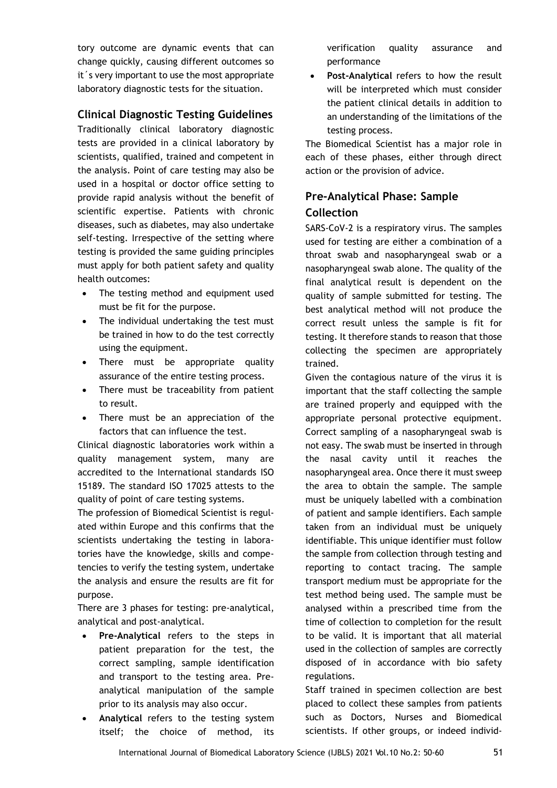tory outcome are dynamic events that can change quickly, causing different outcomes so it´s very important to use the most appropriate laboratory diagnostic tests for the situation.

## **Clinical Diagnostic Testing Guidelines**

Traditionally clinical laboratory diagnostic tests are provided in a clinical laboratory by scientists, qualified, trained and competent in the analysis. Point of care testing may also be used in a hospital or doctor office setting to provide rapid analysis without the benefit of scientific expertise. Patients with chronic diseases, such as diabetes, may also undertake self-testing. Irrespective of the setting where testing is provided the same guiding principles must apply for both patient safety and quality health outcomes:

- The testing method and equipment used must be fit for the purpose.
- The individual undertaking the test must be trained in how to do the test correctly using the equipment.
- There must be appropriate quality assurance of the entire testing process.
- There must be traceability from patient to result.
- There must be an appreciation of the factors that can influence the test.

Clinical diagnostic laboratories work within a quality management system, many are accredited to the International standards ISO 15189. The standard ISO 17025 attests to the quality of point of care testing systems.

The profession of Biomedical Scientist is regulated within Europe and this confirms that the scientists undertaking the testing in laboratories have the knowledge, skills and competencies to verify the testing system, undertake the analysis and ensure the results are fit for purpose.

There are 3 phases for testing: pre-analytical, analytical and post-analytical.

- **Pre-Analytical** refers to the steps in patient preparation for the test, the correct sampling, sample identification and transport to the testing area. Preanalytical manipulation of the sample prior to its analysis may also occur.
- **Analytical** refers to the testing system itself; the choice of method, its

verification quality assurance and performance

 **Post-Analytical** refers to how the result will be interpreted which must consider the patient clinical details in addition to an understanding of the limitations of the testing process.

The Biomedical Scientist has a major role in each of these phases, either through direct action or the provision of advice.

# **Pre-Analytical Phase: Sample Collection**

SARS-CoV-2 is a respiratory virus. The samples used for testing are either a combination of a throat swab and nasopharyngeal swab or a nasopharyngeal swab alone. The quality of the final analytical result is dependent on the quality of sample submitted for testing. The best analytical method will not produce the correct result unless the sample is fit for testing. It therefore stands to reason that those collecting the specimen are appropriately trained.

Given the contagious nature of the virus it is important that the staff collecting the sample are trained properly and equipped with the appropriate personal protective equipment. Correct sampling of a nasopharyngeal swab is not easy. The swab must be inserted in through the nasal cavity until it reaches the nasopharyngeal area. Once there it must sweep the area to obtain the sample. The sample must be uniquely labelled with a combination of patient and sample identifiers. Each sample taken from an individual must be uniquely identifiable. This unique identifier must follow the sample from collection through testing and reporting to contact tracing. The sample transport medium must be appropriate for the test method being used. The sample must be analysed within a prescribed time from the time of collection to completion for the result to be valid. It is important that all material used in the collection of samples are correctly disposed of in accordance with bio safety regulations.

Staff trained in specimen collection are best placed to collect these samples from patients such as Doctors, Nurses and Biomedical scientists. If other groups, or indeed individ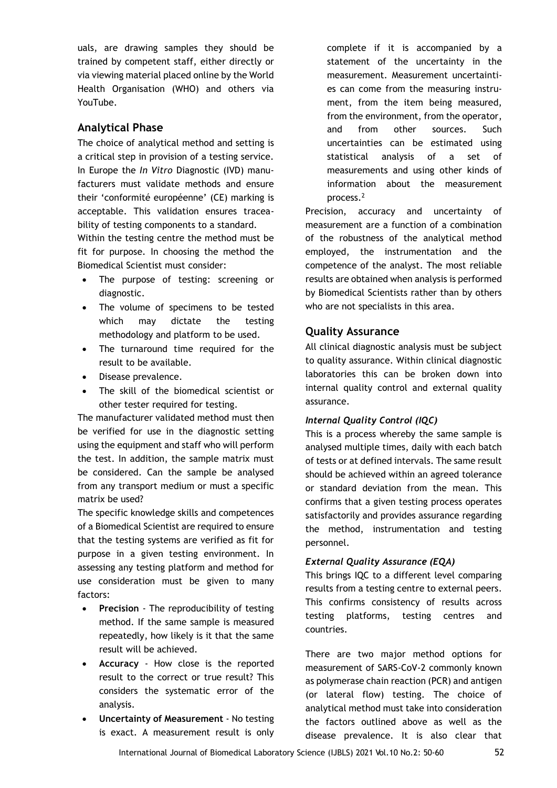uals, are drawing samples they should be trained by competent staff, either directly or via viewing material placed online by the World Health Organisation (WHO) and others via YouTube.

## **Analytical Phase**

The choice of analytical method and setting is a critical step in provision of a testing service. In Europe the *In Vitro* Diagnostic (IVD) manufacturers must validate methods and ensure their 'conformité européenne' (CE) marking is acceptable. This validation ensures traceability of testing components to a standard.

Within the testing centre the method must be fit for purpose. In choosing the method the Biomedical Scientist must consider:

- The purpose of testing: screening or diagnostic.
- The volume of specimens to be tested which may dictate the testing methodology and platform to be used.
- The turnaround time required for the result to be available.
- Disease prevalence.
- The skill of the biomedical scientist or other tester required for testing.

The manufacturer validated method must then be verified for use in the diagnostic setting using the equipment and staff who will perform the test. In addition, the sample matrix must be considered. Can the sample be analysed from any transport medium or must a specific matrix be used?

The specific knowledge skills and competences of a Biomedical Scientist are required to ensure that the testing systems are verified as fit for purpose in a given testing environment. In assessing any testing platform and method for use consideration must be given to many factors:

- **Precision** The reproducibility of testing method. If the same sample is measured repeatedly, how likely is it that the same result will be achieved.
- **Accuracy** How close is the reported result to the correct or true result? This considers the systematic error of the analysis.
- **Uncertainty of Measurement** No testing is exact. A measurement result is only

complete if it is accompanied by a statement of the uncertainty in the measurement. Measurement uncertainties can come from the measuring instrument, from the item being measured, from the environment, from the operator, and from other sources. Such uncertainties can be estimated using statistical analysis of a set of measurements and using other kinds of information about the measurement process.<sup>2</sup>

Precision, accuracy and uncertainty of measurement are a function of a combination of the robustness of the analytical method employed, the instrumentation and the competence of the analyst. The most reliable results are obtained when analysis is performed by Biomedical Scientists rather than by others who are not specialists in this area.

### **Quality Assurance**

All clinical diagnostic analysis must be subject to quality assurance. Within clinical diagnostic laboratories this can be broken down into internal quality control and external quality assurance.

#### *Internal Quality Control (IQC)*

This is a process whereby the same sample is analysed multiple times, daily with each batch of tests or at defined intervals. The same result should be achieved within an agreed tolerance or standard deviation from the mean. This confirms that a given testing process operates satisfactorily and provides assurance regarding the method, instrumentation and testing personnel.

#### *External Quality Assurance (EQA)*

This brings IQC to a different level comparing results from a testing centre to external peers. This confirms consistency of results across testing platforms, testing centres and countries.

There are two major method options for measurement of SARS-CoV-2 commonly known as polymerase chain reaction (PCR) and antigen (or lateral flow) testing. The choice of analytical method must take into consideration the factors outlined above as well as the disease prevalence. It is also clear that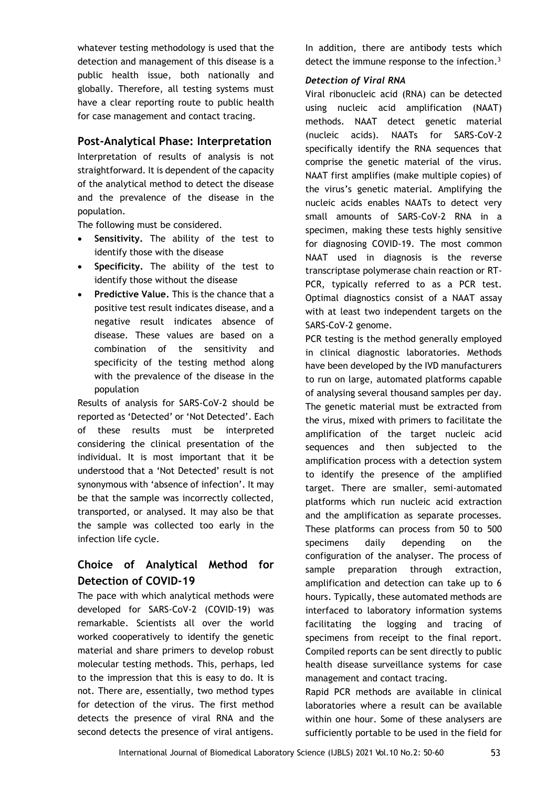whatever testing methodology is used that the detection and management of this disease is a public health issue, both nationally and globally. Therefore, all testing systems must have a clear reporting route to public health for case management and contact tracing.

## **Post-Analytical Phase: Interpretation**

Interpretation of results of analysis is not straightforward. It is dependent of the capacity of the analytical method to detect the disease and the prevalence of the disease in the population.

The following must be considered.

- **Sensitivity.** The ability of the test to identify those with the disease
- **Specificity.** The ability of the test to identify those without the disease
- **Predictive Value.** This is the chance that a positive test result indicates disease, and a negative result indicates absence of disease. These values are based on a combination of the sensitivity and specificity of the testing method along with the prevalence of the disease in the population

Results of analysis for SARS-CoV-2 should be reported as 'Detected' or 'Not Detected'. Each of these results must be interpreted considering the clinical presentation of the individual. It is most important that it be understood that a 'Not Detected' result is not synonymous with 'absence of infection'. It may be that the sample was incorrectly collected, transported, or analysed. It may also be that the sample was collected too early in the infection life cycle.

## **Choice of Analytical Method for Detection of COVID-19**

The pace with which analytical methods were developed for SARS-CoV-2 (COVID-19) was remarkable. Scientists all over the world worked cooperatively to identify the genetic material and share primers to develop robust molecular testing methods. This, perhaps, led to the impression that this is easy to do. It is not. There are, essentially, two method types for detection of the virus. The first method detects the presence of viral RNA and the second detects the presence of viral antigens.

In addition, there are antibody tests which detect the immune response to the infection.<sup>3</sup>

#### *Detection of Viral RNA*

Viral ribonucleic acid (RNA) can be detected using nucleic acid amplification (NAAT) methods. NAAT detect genetic material (nucleic acids). NAATs for SARS-CoV-2 specifically identify the RNA sequences that comprise the genetic material of the virus. NAAT first amplifies (make multiple copies) of the virus's genetic material. Amplifying the nucleic acids enables NAATs to detect very small amounts of SARS-CoV-2 RNA in a specimen, making these tests highly sensitive for diagnosing COVID-19. The most common NAAT used in diagnosis is the reverse transcriptase polymerase chain reaction or RT-PCR, typically referred to as a PCR test. Optimal diagnostics consist of a NAAT assay with at least two independent targets on the SARS-CoV-2 genome.

PCR testing is the method generally employed in clinical diagnostic laboratories. Methods have been developed by the IVD manufacturers to run on large, automated platforms capable of analysing several thousand samples per day. The genetic material must be extracted from the virus, mixed with primers to facilitate the amplification of the target nucleic acid sequences and then subjected to the amplification process with a detection system to identify the presence of the amplified target. There are smaller, semi-automated platforms which run nucleic acid extraction and the amplification as separate processes. These platforms can process from 50 to 500 specimens daily depending on the configuration of the analyser. The process of sample preparation through extraction, amplification and detection can take up to 6 hours. Typically, these automated methods are interfaced to laboratory information systems facilitating the logging and tracing of specimens from receipt to the final report. Compiled reports can be sent directly to public health disease surveillance systems for case management and contact tracing.

Rapid PCR methods are available in clinical laboratories where a result can be available within one hour. Some of these analysers are sufficiently portable to be used in the field for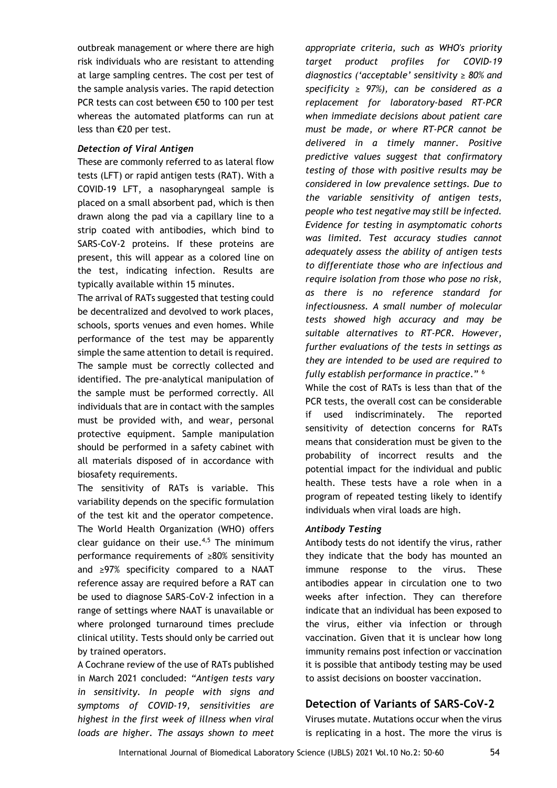outbreak management or where there are high risk individuals who are resistant to attending at large sampling centres. The cost per test of the sample analysis varies. The rapid detection PCR tests can cost between €50 to 100 per test whereas the automated platforms can run at less than €20 per test.

#### *Detection of Viral Antigen*

These are commonly referred to as lateral flow tests (LFT) or rapid antigen tests (RAT). With a COVID-19 LFT, a nasopharyngeal sample is placed on a small absorbent pad, which is then drawn along the pad via a capillary line to a strip coated with antibodies, which bind to SARS-CoV-2 proteins. If these proteins are present, this will appear as a colored line on the test, indicating infection. Results are typically available within 15 minutes.

The arrival of RATs suggested that testing could be decentralized and devolved to work places, schools, sports venues and even homes. While performance of the test may be apparently simple the same attention to detail is required. The sample must be correctly collected and identified. The pre-analytical manipulation of the sample must be performed correctly. All individuals that are in contact with the samples must be provided with, and wear, personal protective equipment. Sample manipulation should be performed in a safety cabinet with all materials disposed of in accordance with biosafety requirements.

The sensitivity of RATs is variable. This variability depends on the specific formulation of the test kit and the operator competence. The World Health Organization (WHO) offers clear guidance on their use. $4,5$  The minimum performance requirements of ≥80% sensitivity and ≥97% specificity compared to a NAAT reference assay are required before a RAT can be used to diagnose SARS-CoV-2 infection in a range of settings where NAAT is unavailable or where prolonged turnaround times preclude clinical utility. Tests should only be carried out by trained operators.

A Cochrane review of the use of RATs published in March 2021 concluded: *"Antigen tests vary in sensitivity. In people with signs and symptoms of COVID‐19, sensitivities are highest in the first week of illness when viral loads are higher. The assays shown to meet*  *appropriate criteria, such as WHO's priority target product profiles for COVID‐19 diagnostics ('acceptable' sensitivity ≥ 80% and specificity ≥ 97%), can be considered as a replacement for laboratory‐based RT‐PCR when immediate decisions about patient care must be made, or where RT‐PCR cannot be delivered in a timely manner. Positive predictive values suggest that confirmatory testing of those with positive results may be considered in low prevalence settings. Due to the variable sensitivity of antigen tests, people who test negative may still be infected. Evidence for testing in asymptomatic cohorts was limited. Test accuracy studies cannot adequately assess the ability of antigen tests to differentiate those who are infectious and require isolation from those who pose no risk, as there is no reference standard for infectiousness. A small number of molecular tests showed high accuracy and may be suitable alternatives to RT‐PCR. However, further evaluations of the tests in settings as they are intended to be used are required to fully establish performance in practice.*" 6

While the cost of RATs is less than that of the PCR tests, the overall cost can be considerable if used indiscriminately. The reported sensitivity of detection concerns for RATs means that consideration must be given to the probability of incorrect results and the potential impact for the individual and public health. These tests have a role when in a program of repeated testing likely to identify individuals when viral loads are high.

#### *Antibody Testing*

Antibody tests do not identify the virus, rather they indicate that the body has mounted an immune response to the virus. These antibodies appear in circulation one to two weeks after infection. They can therefore indicate that an individual has been exposed to the virus, either via infection or through vaccination. Given that it is unclear how long immunity remains post infection or vaccination it is possible that antibody testing may be used to assist decisions on booster vaccination.

# **Detection of Variants of SARS-CoV-2**

Viruses mutate. Mutations occur when the virus is replicating in a host. The more the virus is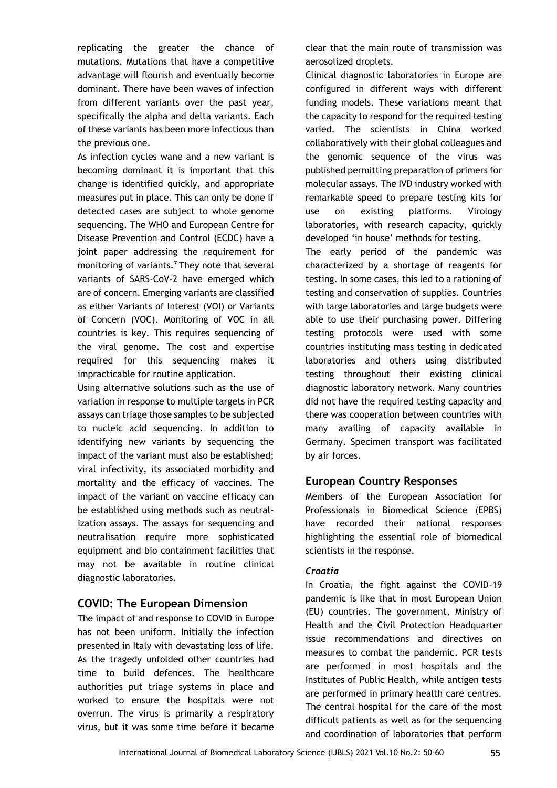replicating the greater the chance of mutations. Mutations that have a competitive advantage will flourish and eventually become dominant. There have been waves of infection from different variants over the past year, specifically the alpha and delta variants. Each of these variants has been more infectious than the previous one.

As infection cycles wane and a new variant is becoming dominant it is important that this change is identified quickly, and appropriate measures put in place. This can only be done if detected cases are subject to whole genome sequencing. The WHO and European Centre for Disease Prevention and Control (ECDC) have a joint paper addressing the requirement for monitoring of variants.<sup>7</sup> They note that several variants of SARS-CoV-2 have emerged which are of concern. Emerging variants are classified as either Variants of Interest (VOI) or Variants of Concern (VOC). Monitoring of VOC in all countries is key. This requires sequencing of the viral genome. The cost and expertise required for this sequencing makes it impracticable for routine application.

Using alternative solutions such as the use of variation in response to multiple targets in PCR assays can triage those samples to be subjected to nucleic acid sequencing. In addition to identifying new variants by sequencing the impact of the variant must also be established; viral infectivity, its associated morbidity and mortality and the efficacy of vaccines. The impact of the variant on vaccine efficacy can be established using methods such as neutralization assays. The assays for sequencing and neutralisation require more sophisticated equipment and bio containment facilities that may not be available in routine clinical diagnostic laboratories.

## **COVID: The European Dimension**

The impact of and response to COVID in Europe has not been uniform. Initially the infection presented in Italy with devastating loss of life. As the tragedy unfolded other countries had time to build defences. The healthcare authorities put triage systems in place and worked to ensure the hospitals were not overrun. The virus is primarily a respiratory virus, but it was some time before it became clear that the main route of transmission was aerosolized droplets.

Clinical diagnostic laboratories in Europe are configured in different ways with different funding models. These variations meant that the capacity to respond for the required testing varied. The scientists in China worked collaboratively with their global colleagues and the genomic sequence of the virus was published permitting preparation of primers for molecular assays. The IVD industry worked with remarkable speed to prepare testing kits for use on existing platforms. Virology laboratories, with research capacity, quickly developed 'in house' methods for testing.

The early period of the pandemic was characterized by a shortage of reagents for testing. In some cases, this led to a rationing of testing and conservation of supplies. Countries with large laboratories and large budgets were able to use their purchasing power. Differing testing protocols were used with some countries instituting mass testing in dedicated laboratories and others using distributed testing throughout their existing clinical diagnostic laboratory network. Many countries did not have the required testing capacity and there was cooperation between countries with many availing of capacity available in Germany. Specimen transport was facilitated by air forces.

## **European Country Responses**

Members of the European Association for Professionals in Biomedical Science (EPBS) have recorded their national responses highlighting the essential role of biomedical scientists in the response.

#### *Croatia*

In Croatia, the fight against the COVID-19 pandemic is like that in most European Union (EU) countries. The government, Ministry of Health and the Civil Protection Headquarter issue recommendations and directives on measures to combat the pandemic. PCR tests are performed in most hospitals and the Institutes of Public Health, while antigen tests are performed in primary health care centres. The central hospital for the care of the most difficult patients as well as for the sequencing and coordination of laboratories that perform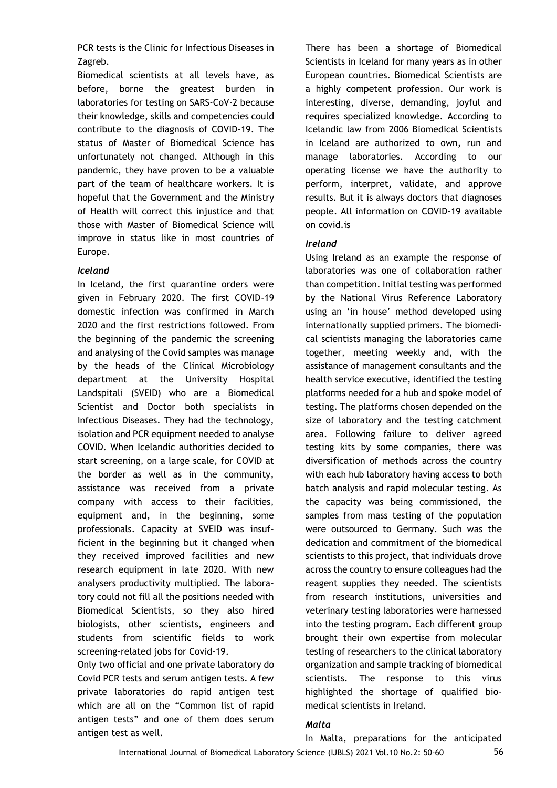PCR tests is the Clinic for Infectious Diseases in Zagreb.

Biomedical scientists at all levels have, as before, borne the greatest burden in laboratories for testing on SARS-CoV-2 because their knowledge, skills and competencies could contribute to the diagnosis of COVID-19. The status of Master of Biomedical Science has unfortunately not changed. Although in this pandemic, they have proven to be a valuable part of the team of healthcare workers. It is hopeful that the Government and the Ministry of Health will correct this injustice and that those with Master of Biomedical Science will improve in status like in most countries of Europe.

#### *Iceland*

In Iceland, the first quarantine orders were given in February 2020. The first COVID-19 domestic infection was confirmed in March 2020 and the first restrictions followed. From the beginning of the pandemic the screening and analysing of the Covid samples was manage by the heads of the Clinical Microbiology department at the University Hospital Landspítali (SVEID) who are a Biomedical Scientist and Doctor both specialists in Infectious Diseases. They had the technology, isolation and PCR equipment needed to analyse COVID. When Icelandic authorities decided to start screening, on a large scale, for COVID at the border as well as in the community, assistance was received from a private company with access to their facilities, equipment and, in the beginning, some professionals. Capacity at SVEID was insufficient in the beginning but it changed when they received improved facilities and new research equipment in late 2020. With new analysers productivity multiplied. The laboratory could not fill all the positions needed with Biomedical Scientists, so they also hired biologists, other scientists, engineers and students from scientific fields to work screening-related jobs for Covid-19.

Only two official and one private laboratory do Covid PCR tests and serum antigen tests. A few private laboratories do rapid antigen test which are all on the "Common list of rapid antigen tests" and one of them does serum antigen test as well.

There has been a shortage of Biomedical Scientists in Iceland for many years as in other European countries. Biomedical Scientists are a highly competent profession. Our work is interesting, diverse, demanding, joyful and requires specialized knowledge. According to Icelandic law from 2006 Biomedical Scientists in Iceland are authorized to own, run and manage laboratories. According to our operating license we have the authority to perform, interpret, validate, and approve results. But it is always doctors that diagnoses people. All information on COVID-19 available on covid.is

### *Ireland*

Using Ireland as an example the response of laboratories was one of collaboration rather than competition. Initial testing was performed by the National Virus Reference Laboratory using an 'in house' method developed using internationally supplied primers. The biomedical scientists managing the laboratories came together, meeting weekly and, with the assistance of management consultants and the health service executive, identified the testing platforms needed for a hub and spoke model of testing. The platforms chosen depended on the size of laboratory and the testing catchment area. Following failure to deliver agreed testing kits by some companies, there was diversification of methods across the country with each hub laboratory having access to both batch analysis and rapid molecular testing. As the capacity was being commissioned, the samples from mass testing of the population were outsourced to Germany. Such was the dedication and commitment of the biomedical scientists to this project, that individuals drove across the country to ensure colleagues had the reagent supplies they needed. The scientists from research institutions, universities and veterinary testing laboratories were harnessed into the testing program. Each different group brought their own expertise from molecular testing of researchers to the clinical laboratory organization and sample tracking of biomedical scientists. The response to this virus highlighted the shortage of qualified biomedical scientists in Ireland.

## *Malta*

International Journal of Biomedical Laboratory Science (IJBLS) 2021 Vol.10 No.2: 50-60 In Malta, preparations for the anticipated 56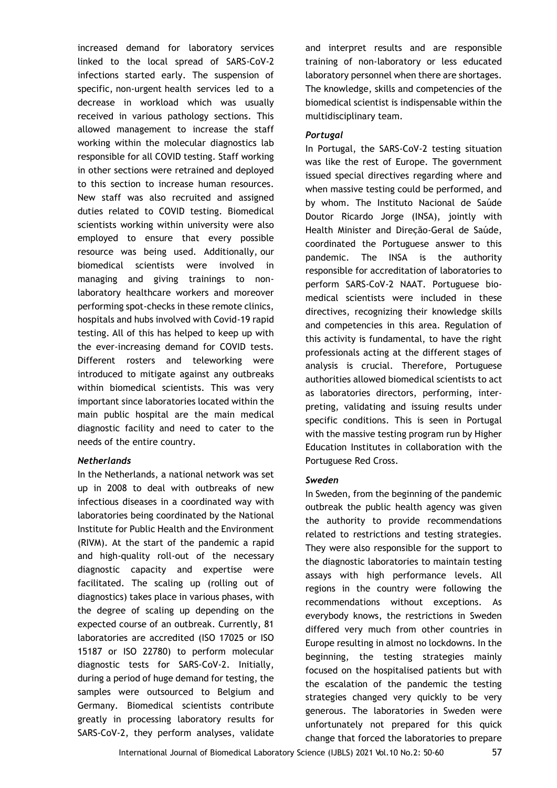increased demand for laboratory services linked to the local spread of SARS-CoV-2 infections started early. The suspension of specific, non-urgent health services led to a decrease in workload which was usually received in various pathology sections. This allowed management to increase the staff working within the molecular diagnostics lab responsible for all COVID testing. Staff working in other sections were retrained and deployed to this section to increase human resources. New staff was also recruited and assigned duties related to COVID testing. Biomedical scientists working within university were also employed to ensure that every possible resource was being used. Additionally, our biomedical scientists were involved in managing and giving trainings to nonlaboratory healthcare workers and moreover performing spot-checks in these remote clinics, hospitals and hubs involved with Covid-19 rapid testing. All of this has helped to keep up with the ever-increasing demand for COVID tests. Different rosters and teleworking were introduced to mitigate against any outbreaks within biomedical scientists. This was very important since laboratories located within the main public hospital are the main medical diagnostic facility and need to cater to the needs of the entire country.

#### *Netherlands*

In the Netherlands, a national network was set up in 2008 to deal with outbreaks of new infectious diseases in a coordinated way with laboratories being coordinated by the National Institute for Public Health and the Environment (RIVM). At the start of the pandemic a rapid and high-quality roll-out of the necessary diagnostic capacity and expertise were facilitated. The scaling up (rolling out of diagnostics) takes place in various phases, with the degree of scaling up depending on the expected course of an outbreak. Currently, 81 laboratories are accredited (ISO 17025 or ISO 15187 or ISO 22780) to perform molecular diagnostic tests for SARS-CoV-2. Initially, during a period of huge demand for testing, the samples were outsourced to Belgium and Germany. Biomedical scientists contribute greatly in processing laboratory results for SARS-CoV-2, they perform analyses, validate

and interpret results and are responsible training of non-laboratory or less educated laboratory personnel when there are shortages. The knowledge, skills and competencies of the biomedical scientist is indispensable within the multidisciplinary team.

#### *Portugal*

In Portugal, the SARS-CoV-2 testing situation was like the rest of Europe. The government issued special directives regarding where and when massive testing could be performed, and by whom. The Instituto Nacional de Saúde Doutor Ricardo Jorge (INSA), jointly with Health Minister and Direção-Geral de Saúde, coordinated the Portuguese answer to this pandemic. The INSA is the authority responsible for accreditation of laboratories to perform SARS-CoV-2 NAAT. Portuguese biomedical scientists were included in these directives, recognizing their knowledge skills and competencies in this area. Regulation of this activity is fundamental, to have the right professionals acting at the different stages of analysis is crucial. Therefore, Portuguese authorities allowed biomedical scientists to act as laboratories directors, performing, interpreting, validating and issuing results under specific conditions. This is seen in Portugal with the massive testing program run by Higher Education Institutes in collaboration with the Portuguese Red Cross.

#### *Sweden*

In Sweden, from the beginning of the pandemic outbreak the public health agency was given the authority to provide recommendations related to restrictions and testing strategies. They were also responsible for the support to the diagnostic laboratories to maintain testing assays with high performance levels. All regions in the country were following the recommendations without exceptions. As everybody knows, the restrictions in Sweden differed very much from other countries in Europe resulting in almost no lockdowns. In the beginning, the testing strategies mainly focused on the hospitalised patients but with the escalation of the pandemic the testing strategies changed very quickly to be very generous. The laboratories in Sweden were unfortunately not prepared for this quick change that forced the laboratories to prepare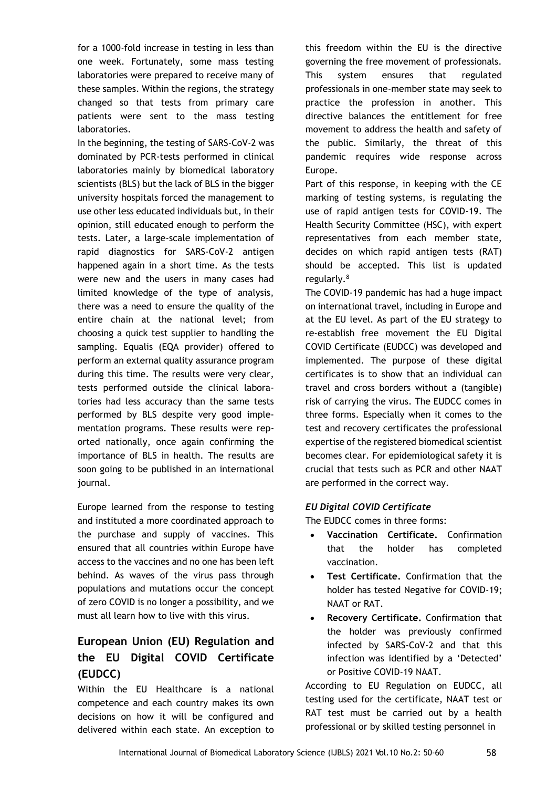for a 1000-fold increase in testing in less than one week. Fortunately, some mass testing laboratories were prepared to receive many of these samples. Within the regions, the strategy changed so that tests from primary care patients were sent to the mass testing laboratories.

In the beginning, the testing of SARS-CoV-2 was dominated by PCR-tests performed in clinical laboratories mainly by biomedical laboratory scientists (BLS) but the lack of BLS in the bigger university hospitals forced the management to use other less educated individuals but, in their opinion, still educated enough to perform the tests. Later, a large-scale implementation of rapid diagnostics for SARS-CoV-2 antigen happened again in a short time. As the tests were new and the users in many cases had limited knowledge of the type of analysis, there was a need to ensure the quality of the entire chain at the national level; from choosing a quick test supplier to handling the sampling. Equalis (EQA provider) offered to perform an external quality assurance program during this time. The results were very clear, tests performed outside the clinical laboratories had less accuracy than the same tests performed by BLS despite very good implementation programs. These results were reported nationally, once again confirming the importance of BLS in health. The results are soon going to be published in an international journal.

Europe learned from the response to testing and instituted a more coordinated approach to the purchase and supply of vaccines. This ensured that all countries within Europe have access to the vaccines and no one has been left behind. As waves of the virus pass through populations and mutations occur the concept of zero COVID is no longer a possibility, and we must all learn how to live with this virus.

# **European Union (EU) Regulation and the EU Digital COVID Certificate (EUDCC)**

Within the EU Healthcare is a national competence and each country makes its own decisions on how it will be configured and delivered within each state. An exception to

this freedom within the EU is the directive governing the free movement of professionals. This system ensures that regulated professionals in one-member state may seek to practice the profession in another. This directive balances the entitlement for free movement to address the health and safety of the public. Similarly, the threat of this pandemic requires wide response across Europe.

Part of this response, in keeping with the CE marking of testing systems, is regulating the use of rapid antigen tests for COVID-19. The Health Security Committee (HSC), with expert representatives from each member state, decides on which rapid antigen tests (RAT) should be accepted. This list is updated regularly.<sup>8</sup>

The COVID-19 pandemic has had a huge impact on international travel, including in Europe and at the EU level. As part of the EU strategy to re-establish free movement the EU Digital COVID Certificate (EUDCC) was developed and implemented. The purpose of these digital certificates is to show that an individual can travel and cross borders without a (tangible) risk of carrying the virus. The EUDCC comes in three forms. Especially when it comes to the test and recovery certificates the professional expertise of the registered biomedical scientist becomes clear. For epidemiological safety it is crucial that tests such as PCR and other NAAT are performed in the correct way.

## *EU Digital COVID Certificate*

The EUDCC comes in three forms:

- **Vaccination Certificate.** Confirmation that the holder has completed vaccination.
- **Test Certificate.** Confirmation that the holder has tested Negative for COVID-19; NAAT or RAT.
- **Recovery Certificate.** Confirmation that the holder was previously confirmed infected by SARS-CoV-2 and that this infection was identified by a 'Detected' or Positive COVID-19 NAAT.

According to EU Regulation on EUDCC, all testing used for the certificate, NAAT test or RAT test must be carried out by a health professional or by skilled testing personnel in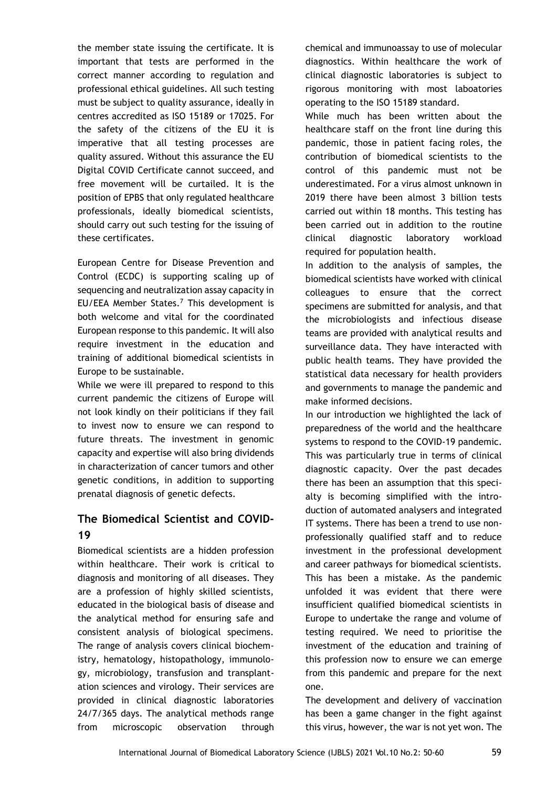the member state issuing the certificate. It is important that tests are performed in the correct manner according to regulation and professional ethical guidelines. All such testing must be subject to quality assurance, ideally in centres accredited as ISO 15189 or 17025. For the safety of the citizens of the EU it is imperative that all testing processes are quality assured. Without this assurance the EU Digital COVID Certificate cannot succeed, and free movement will be curtailed. It is the position of EPBS that only regulated healthcare professionals, ideally biomedical scientists, should carry out such testing for the issuing of these certificates.

European Centre for Disease Prevention and Control (ECDC) is supporting scaling up of sequencing and neutralization assay capacity in EU/EEA Member States.<sup>7</sup> This development is both welcome and vital for the coordinated European response to this pandemic. It will also require investment in the education and training of additional biomedical scientists in Europe to be sustainable.

While we were ill prepared to respond to this current pandemic the citizens of Europe will not look kindly on their politicians if they fail to invest now to ensure we can respond to future threats. The investment in genomic capacity and expertise will also bring dividends in characterization of cancer tumors and other genetic conditions, in addition to supporting prenatal diagnosis of genetic defects.

# **The Biomedical Scientist and COVID-19**

Biomedical scientists are a hidden profession within healthcare. Their work is critical to diagnosis and monitoring of all diseases. They are a profession of highly skilled scientists, educated in the biological basis of disease and the analytical method for ensuring safe and consistent analysis of biological specimens. The range of analysis covers clinical biochemistry, hematology, histopathology, immunology, microbiology, transfusion and transplantation sciences and virology. Their services are provided in clinical diagnostic laboratories 24/7/365 days. The analytical methods range from microscopic observation through

chemical and immunoassay to use of molecular diagnostics. Within healthcare the work of clinical diagnostic laboratories is subject to rigorous monitoring with most laboatories operating to the ISO 15189 standard.

While much has been written about the healthcare staff on the front line during this pandemic, those in patient facing roles, the contribution of biomedical scientists to the control of this pandemic must not be underestimated. For a virus almost unknown in 2019 there have been almost 3 billion tests carried out within 18 months. This testing has been carried out in addition to the routine clinical diagnostic laboratory workload required for population health.

In addition to the analysis of samples, the biomedical scientists have worked with clinical colleagues to ensure that the correct specimens are submitted for analysis, and that the microbiologists and infectious disease teams are provided with analytical results and surveillance data. They have interacted with public health teams. They have provided the statistical data necessary for health providers and governments to manage the pandemic and make informed decisions.

In our introduction we highlighted the lack of preparedness of the world and the healthcare systems to respond to the COVID-19 pandemic. This was particularly true in terms of clinical diagnostic capacity. Over the past decades there has been an assumption that this specialty is becoming simplified with the introduction of automated analysers and integrated IT systems. There has been a trend to use nonprofessionally qualified staff and to reduce investment in the professional development and career pathways for biomedical scientists. This has been a mistake. As the pandemic unfolded it was evident that there were insufficient qualified biomedical scientists in Europe to undertake the range and volume of testing required. We need to prioritise the investment of the education and training of this profession now to ensure we can emerge from this pandemic and prepare for the next one.

The development and delivery of vaccination has been a game changer in the fight against this virus, however, the war is not yet won. The